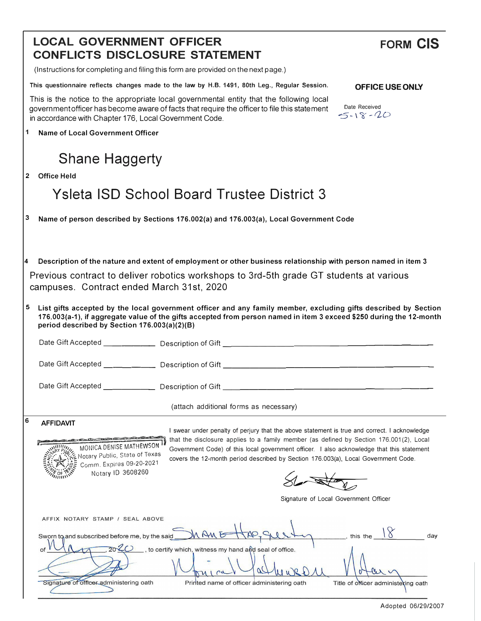|                                                                                                                                                                                                                                                                                                                                                                                                                                                                                                                                                                                                                                | <b>LOCAL GOVERNMENT OFFICER</b><br><b>CONFLICTS DISCLOSURE STATEMENT</b>                                                                                                                                                                                                               | <b>FORM CIS</b>                                            |  |
|--------------------------------------------------------------------------------------------------------------------------------------------------------------------------------------------------------------------------------------------------------------------------------------------------------------------------------------------------------------------------------------------------------------------------------------------------------------------------------------------------------------------------------------------------------------------------------------------------------------------------------|----------------------------------------------------------------------------------------------------------------------------------------------------------------------------------------------------------------------------------------------------------------------------------------|------------------------------------------------------------|--|
|                                                                                                                                                                                                                                                                                                                                                                                                                                                                                                                                                                                                                                | (Instructions for completing and filing this form are provided on the next page.)                                                                                                                                                                                                      |                                                            |  |
|                                                                                                                                                                                                                                                                                                                                                                                                                                                                                                                                                                                                                                | This questionnaire reflects changes made to the law by H.B. 1491, 80th Leg., Regular Session.                                                                                                                                                                                          | OFFICE USE ONLY                                            |  |
|                                                                                                                                                                                                                                                                                                                                                                                                                                                                                                                                                                                                                                | This is the notice to the appropriate local governmental entity that the following local<br>government officer has become aware of facts that require the officer to file this statement<br>in accordance with Chapter 176, Local Government Code.                                     | Date Received<br>$5 - 18 - 20$                             |  |
| 1                                                                                                                                                                                                                                                                                                                                                                                                                                                                                                                                                                                                                              | Name of Local Government Officer                                                                                                                                                                                                                                                       |                                                            |  |
|                                                                                                                                                                                                                                                                                                                                                                                                                                                                                                                                                                                                                                | <b>Shane Haggerty</b>                                                                                                                                                                                                                                                                  |                                                            |  |
| $\mathbf{2}$                                                                                                                                                                                                                                                                                                                                                                                                                                                                                                                                                                                                                   | <b>Office Held</b>                                                                                                                                                                                                                                                                     |                                                            |  |
|                                                                                                                                                                                                                                                                                                                                                                                                                                                                                                                                                                                                                                | <b>Ysleta ISD School Board Trustee District 3</b>                                                                                                                                                                                                                                      |                                                            |  |
| 3                                                                                                                                                                                                                                                                                                                                                                                                                                                                                                                                                                                                                              | Name of person described by Sections 176.002(a) and 176.003(a), Local Government Code                                                                                                                                                                                                  |                                                            |  |
| Description of the nature and extent of employment or other business relationship with person named in item 3<br>4<br>Previous contract to deliver robotics workshops to 3rd-5th grade GT students at various<br>campuses. Contract ended March 31st, 2020                                                                                                                                                                                                                                                                                                                                                                     |                                                                                                                                                                                                                                                                                        |                                                            |  |
| 5                                                                                                                                                                                                                                                                                                                                                                                                                                                                                                                                                                                                                              | List gifts accepted by the local government officer and any family member, excluding gifts described by Section<br>176.003(a-1), if aggregate value of the gifts accepted from person named in item 3 exceed \$250 during the 12-month<br>period described by Section 176.003(a)(2)(B) |                                                            |  |
|                                                                                                                                                                                                                                                                                                                                                                                                                                                                                                                                                                                                                                |                                                                                                                                                                                                                                                                                        |                                                            |  |
|                                                                                                                                                                                                                                                                                                                                                                                                                                                                                                                                                                                                                                |                                                                                                                                                                                                                                                                                        |                                                            |  |
|                                                                                                                                                                                                                                                                                                                                                                                                                                                                                                                                                                                                                                | Date Gift Accepted ___________<br>Description of Gift                                                                                                                                                                                                                                  |                                                            |  |
|                                                                                                                                                                                                                                                                                                                                                                                                                                                                                                                                                                                                                                | (attach additional forms as necessary)                                                                                                                                                                                                                                                 |                                                            |  |
| 6<br><b>AFFIDAVIT</b><br>I swear under penalty of perjury that the above statement is true and correct. I acknowledge<br>and the state of the office of the college of the state<br>that the disclosure applies to a family member (as defined by Section 176.001(2), Local<br>MONICA DENISE MATHEWSON<br>Government Code) of this local government officer. I also acknowledge that this statement<br>Notary Public, State of Texas<br>covers the 12-month period described by Section 176.003(a), Local Government Code.<br>Comm. Expires 09-20-2021<br>Notary ID 3608260<br>,,,,,,<br>Signature of Local Government Officer |                                                                                                                                                                                                                                                                                        |                                                            |  |
|                                                                                                                                                                                                                                                                                                                                                                                                                                                                                                                                                                                                                                | AFFIX NOTARY STAMP / SEAL ABOVE<br>M AM E<br>Sworn to and subscribed before me, by the said<br>2020<br>, to certify which, witness my hand and seal of office.<br>of<br>Signature of officer administering oath<br>Printed name of officer administering oath                          | $,$ this the<br>day<br>Title of officer administering oath |  |